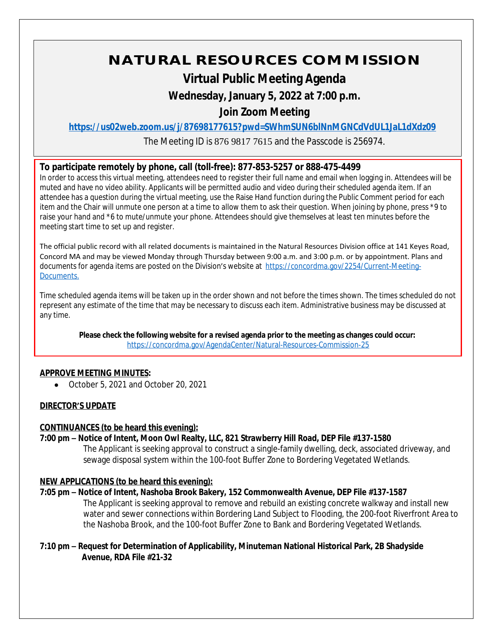# **NATURAL RESOURCES COMMISSION**

## **Virtual Public Meeting Agenda**

## **Wednesday, January 5, 2022 at 7:00 p.m.**

## **Join Zoom Meeting**

**<https://us02web.zoom.us/j/87698177615?pwd=SWhmSUN6blNnMGNCdVdUL1JaL1dXdz09>**

The Meeting ID is 876 9817 7615 and the Passcode is 256974.

#### **To participate remotely by phone, call (toll-free): 877-853-5257 or 888-475-4499**

In order to access this virtual meeting, attendees need to register their full name and email when logging in. Attendees will be muted and have no video ability. Applicants will be permitted audio and video during their scheduled agenda item. If an attendee has a question during the virtual meeting, use the Raise Hand function during the Public Comment period for each item and the Chair will unmute one person at a time to allow them to ask their question. When joining by phone, press \*9 to raise your hand and \*6 to mute/unmute your phone. Attendees should give themselves at least ten minutes before the meeting start time to set up and register.

The official public record with all related documents is maintained in the Natural Resources Division office at 141 Keyes Road, Concord MA and may be viewed Monday through Thursday between 9:00 a.m. and 3:00 p.m. or by appointment. Plans and documents for agenda items are posted on the Division's website at [https://concordma.gov/2254/Current-Meeting-](https://concordma.gov/2254/Current-Meeting-Documents)Documents.

Time scheduled agenda items will be taken up in the order shown and not before the times shown. The times scheduled do not represent any estimate of the time that may be necessary to discuss each item. Administrative business may be discussed at any time.

**Please check the following website for a revised agenda prior to the meeting as changes could occur:**  <https://concordma.gov/AgendaCenter/Natural-Resources-Commission-25>

#### **APPROVE MEETING MINUTES:**

October 5, 2021 and October 20, 2021

#### **DIRECTOR'S UPDATE**

#### **CONTINUANCES (to be heard this evening):**

#### **7:00 pm – Notice of Intent, Moon Owl Realty, LLC, 821 Strawberry Hill Road, DEP File #137-1580**

The Applicant is seeking approval to construct a single-family dwelling, deck, associated driveway, and sewage disposal system within the 100-foot Buffer Zone to Bordering Vegetated Wetlands.

#### **NEW APPLICATIONS (to be heard this evening):**

#### **7:05 pm – Notice of Intent, Nashoba Brook Bakery, 152 Commonwealth Avenue, DEP File #137-1587**

The Applicant is seeking approval to remove and rebuild an existing concrete walkway and install new water and sewer connections within Bordering Land Subject to Flooding, the 200-foot Riverfront Area to the Nashoba Brook, and the 100-foot Buffer Zone to Bank and Bordering Vegetated Wetlands.

#### **7:10 pm – Request for Determination of Applicability, Minuteman National Historical Park, 2B Shadyside Avenue, RDA File #21-32**